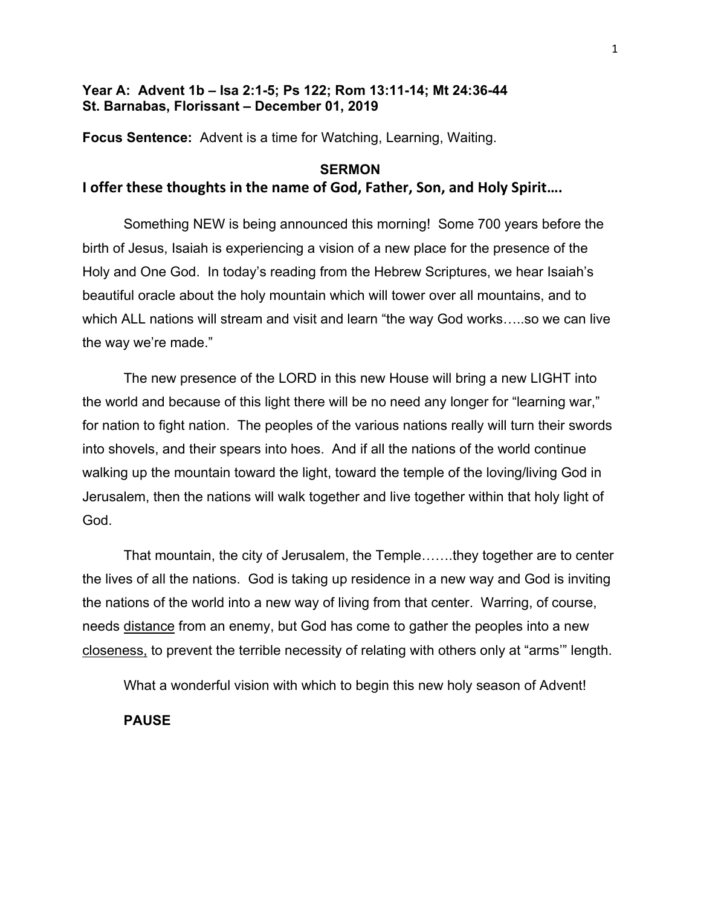## **Year A: Advent 1b – Isa 2:1-5; Ps 122; Rom 13:11-14; Mt 24:36-44 St. Barnabas, Florissant – December 01, 2019**

**Focus Sentence:** Advent is a time for Watching, Learning, Waiting.

# **SERMON**

## **I offer these thoughts in the name of God, Father, Son, and Holy Spirit….**

Something NEW is being announced this morning! Some 700 years before the birth of Jesus, Isaiah is experiencing a vision of a new place for the presence of the Holy and One God. In today's reading from the Hebrew Scriptures, we hear Isaiah's beautiful oracle about the holy mountain which will tower over all mountains, and to which ALL nations will stream and visit and learn "the way God works…..so we can live the way we're made."

The new presence of the LORD in this new House will bring a new LIGHT into the world and because of this light there will be no need any longer for "learning war," for nation to fight nation. The peoples of the various nations really will turn their swords into shovels, and their spears into hoes. And if all the nations of the world continue walking up the mountain toward the light, toward the temple of the loving/living God in Jerusalem, then the nations will walk together and live together within that holy light of God.

That mountain, the city of Jerusalem, the Temple…….they together are to center the lives of all the nations. God is taking up residence in a new way and God is inviting the nations of the world into a new way of living from that center. Warring, of course, needs distance from an enemy, but God has come to gather the peoples into a new closeness, to prevent the terrible necessity of relating with others only at "arms'" length.

What a wonderful vision with which to begin this new holy season of Advent!

**PAUSE**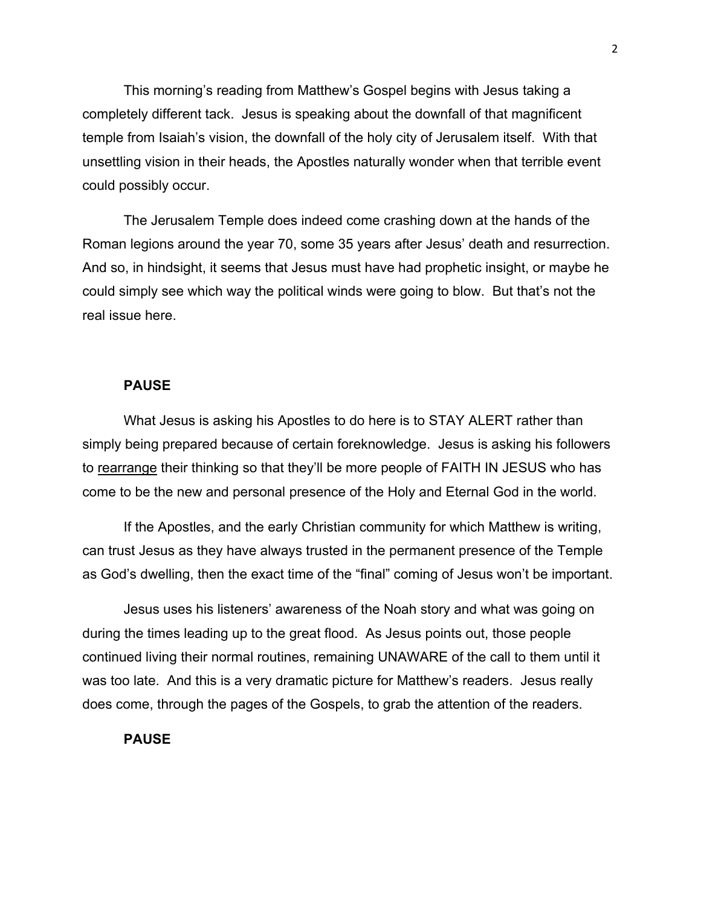This morning's reading from Matthew's Gospel begins with Jesus taking a completely different tack. Jesus is speaking about the downfall of that magnificent temple from Isaiah's vision, the downfall of the holy city of Jerusalem itself. With that unsettling vision in their heads, the Apostles naturally wonder when that terrible event could possibly occur.

The Jerusalem Temple does indeed come crashing down at the hands of the Roman legions around the year 70, some 35 years after Jesus' death and resurrection. And so, in hindsight, it seems that Jesus must have had prophetic insight, or maybe he could simply see which way the political winds were going to blow. But that's not the real issue here.

## **PAUSE**

What Jesus is asking his Apostles to do here is to STAY ALERT rather than simply being prepared because of certain foreknowledge. Jesus is asking his followers to rearrange their thinking so that they'll be more people of FAITH IN JESUS who has come to be the new and personal presence of the Holy and Eternal God in the world.

If the Apostles, and the early Christian community for which Matthew is writing, can trust Jesus as they have always trusted in the permanent presence of the Temple as God's dwelling, then the exact time of the "final" coming of Jesus won't be important.

Jesus uses his listeners' awareness of the Noah story and what was going on during the times leading up to the great flood. As Jesus points out, those people continued living their normal routines, remaining UNAWARE of the call to them until it was too late. And this is a very dramatic picture for Matthew's readers. Jesus really does come, through the pages of the Gospels, to grab the attention of the readers.

#### **PAUSE**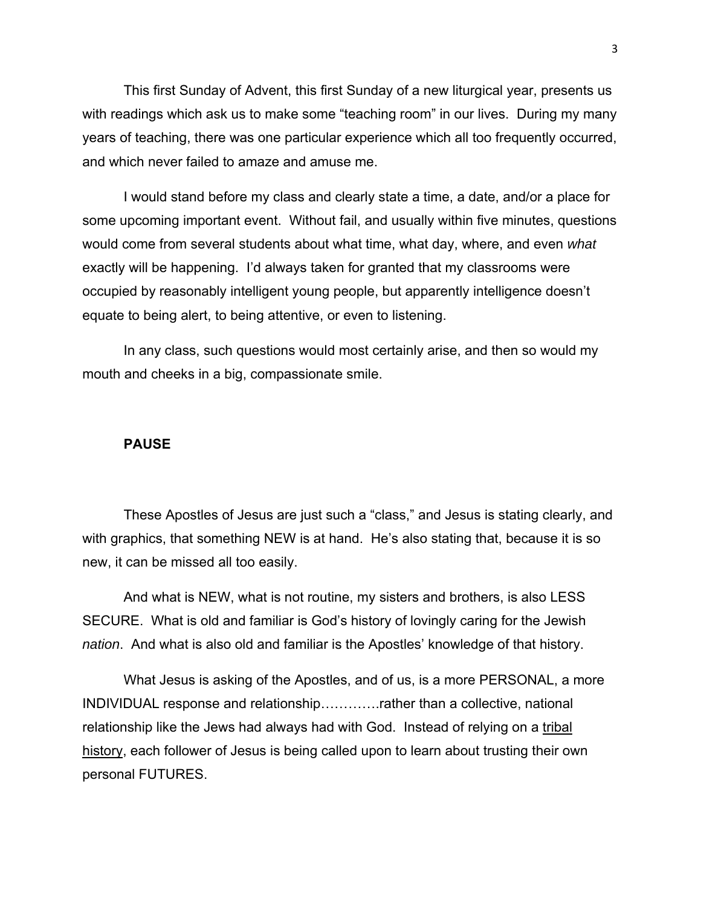This first Sunday of Advent, this first Sunday of a new liturgical year, presents us with readings which ask us to make some "teaching room" in our lives. During my many years of teaching, there was one particular experience which all too frequently occurred, and which never failed to amaze and amuse me.

I would stand before my class and clearly state a time, a date, and/or a place for some upcoming important event. Without fail, and usually within five minutes, questions would come from several students about what time, what day, where, and even *what* exactly will be happening. I'd always taken for granted that my classrooms were occupied by reasonably intelligent young people, but apparently intelligence doesn't equate to being alert, to being attentive, or even to listening.

In any class, such questions would most certainly arise, and then so would my mouth and cheeks in a big, compassionate smile.

#### **PAUSE**

These Apostles of Jesus are just such a "class," and Jesus is stating clearly, and with graphics, that something NEW is at hand. He's also stating that, because it is so new, it can be missed all too easily.

And what is NEW, what is not routine, my sisters and brothers, is also LESS SECURE. What is old and familiar is God's history of lovingly caring for the Jewish *nation*. And what is also old and familiar is the Apostles' knowledge of that history.

What Jesus is asking of the Apostles, and of us, is a more PERSONAL, a more INDIVIDUAL response and relationship………….rather than a collective, national relationship like the Jews had always had with God. Instead of relying on a tribal history, each follower of Jesus is being called upon to learn about trusting their own personal FUTURES.